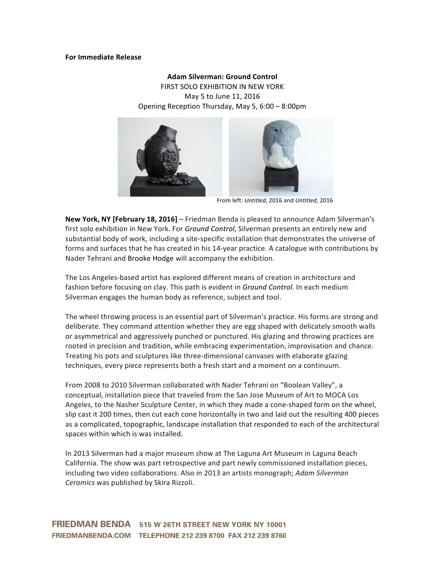# **For Immediate Release**

# **Adam Silverman: Ground Control** FIRST SOLO EXHIBITION IN NEW YORK

May 5 to June 11, 2016 Opening Reception Thursday, May 5, 6:00 – 8:00pm



 From left: *Untitled*, 2016 and *Untitled*, 2016

**New York, NY [February 18, 2016]** – Friedman Benda is pleased to announce Adam Silverman's first solo exhibition in New York. For *Ground Control*, Silverman presents an entirely new and substantial body of work, including a site-specific installation that demonstrates the universe of forms and surfaces that he has created in his 14-year practice. A catalogue with contributions by Nader Tehrani and Brooke Hodge will accompany the exhibition.

The Los Angeles-based artist has explored different means of creation in architecture and fashion before focusing on clay. This path is evident in *Ground Control*. In each medium Silverman engages the human body as reference, subject and tool.

The wheel throwing process is an essential part of Silverman's practice. His forms are strong and deliberate. They command attention whether they are egg shaped with delicately smooth walls or asymmetrical and aggressively punched or punctured. His glazing and throwing practices are rooted in precision and tradition, while embracing experimentation, improvisation and chance. Treating his pots and sculptures like three-dimensional canvases with elaborate glazing techniques, every piece represents both a fresh start and a moment on a continuum.

From 2008 to 2010 Silverman collaborated with Nader Tehrani on "Boolean Valley", a conceptual, installation piece that traveled from the San Jose Museum of Art to MOCA Los Angeles, to the Nasher Sculpture Center, in which they made a cone-shaped form on the wheel, slip cast it 200 times, then cut each cone horizontally in two and laid out the resulting 400 pieces as a complicated, topographic, landscape installation that responded to each of the architectural spaces within which is was installed.

In 2013 Silverman had a major museum show at The Laguna Art Museum in Laguna Beach California. The show was part retrospective and part newly commissioned installation pieces, including two video collaborations. Also in 2013 an artists monograph; *Adam Silverman Ceramics* was published by Skira Rizzoli.

FRIEDMAN BENDA 515 W 26TH STREET NEW YORK NY 10001 FRIEDMANBENDA.COM TELEPHONE 212 239 8700 FAX 212 239 8760